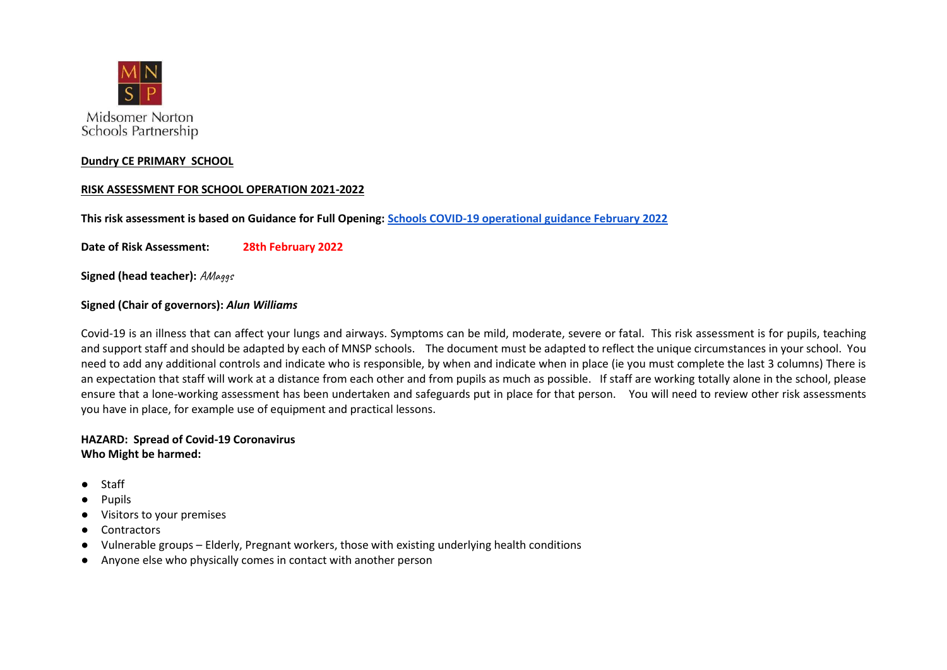

## **Dundry CE PRIMARY SCHOOL**

## **RISK ASSESSMENT FOR SCHOOL OPERATION 2021-2022**

**This risk assessment is based on Guidance for Full Opening[: Schools COVID-19 operational guidance February](https://assets.publishing.service.gov.uk/government/uploads/system/uploads/attachment_data/file/1057106/220224_Schools_guidance.pdfSchools%20COVID-19%20operational%20guidance%20February%202022) 2022**

**Date of Risk Assessment: 28th February 2022**

**Signed (head teacher): AMaggs** 

## **Signed (Chair of governors):** *Alun Williams*

Covid-19 is an illness that can affect your lungs and airways. Symptoms can be mild, moderate, severe or fatal. This risk assessment is for pupils, teaching and support staff and should be adapted by each of MNSP schools. The document must be adapted to reflect the unique circumstances in your school. You need to add any additional controls and indicate who is responsible, by when and indicate when in place (ie you must complete the last 3 columns) There is an expectation that staff will work at a distance from each other and from pupils as much as possible. If staff are working totally alone in the school, please ensure that a lone-working assessment has been undertaken and safeguards put in place for that person. You will need to review other risk assessments you have in place, for example use of equipment and practical lessons.

## **HAZARD: Spread of Covid-19 Coronavirus Who Might be harmed:**

- Staff
- **Pupils**
- Visitors to your premises
- Contractors
- Vulnerable groups Elderly, Pregnant workers, those with existing underlying health conditions
- Anyone else who physically comes in contact with another person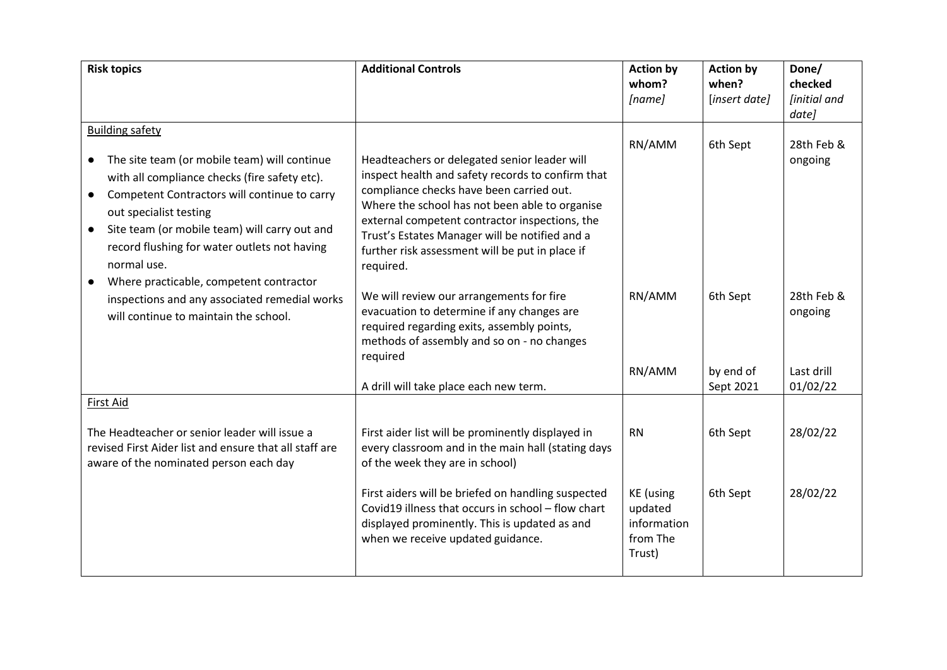| <b>Risk topics</b>                                                                                                                                                                                                                                                                                                                                                                                  | <b>Additional Controls</b>                                                                                                                                                                                                                                                                                                                                          | <b>Action by</b><br>whom?<br>[name]                              | <b>Action by</b><br>when?<br>[insert date] | Done/<br>checked<br><i><b>[initial and</b></i><br>date] |
|-----------------------------------------------------------------------------------------------------------------------------------------------------------------------------------------------------------------------------------------------------------------------------------------------------------------------------------------------------------------------------------------------------|---------------------------------------------------------------------------------------------------------------------------------------------------------------------------------------------------------------------------------------------------------------------------------------------------------------------------------------------------------------------|------------------------------------------------------------------|--------------------------------------------|---------------------------------------------------------|
| <b>Building safety</b><br>The site team (or mobile team) will continue<br>$\bullet$<br>with all compliance checks (fire safety etc).<br>Competent Contractors will continue to carry<br>$\bullet$<br>out specialist testing<br>Site team (or mobile team) will carry out and<br>$\bullet$<br>record flushing for water outlets not having<br>normal use.<br>Where practicable, competent contractor | Headteachers or delegated senior leader will<br>inspect health and safety records to confirm that<br>compliance checks have been carried out.<br>Where the school has not been able to organise<br>external competent contractor inspections, the<br>Trust's Estates Manager will be notified and a<br>further risk assessment will be put in place if<br>required. | RN/AMM                                                           | 6th Sept                                   | 28th Feb &<br>ongoing                                   |
| inspections and any associated remedial works<br>will continue to maintain the school.                                                                                                                                                                                                                                                                                                              | We will review our arrangements for fire<br>evacuation to determine if any changes are<br>required regarding exits, assembly points,<br>methods of assembly and so on - no changes<br>required                                                                                                                                                                      | RN/AMM<br>RN/AMM                                                 | 6th Sept<br>by end of                      | 28th Feb &<br>ongoing<br>Last drill                     |
|                                                                                                                                                                                                                                                                                                                                                                                                     | A drill will take place each new term.                                                                                                                                                                                                                                                                                                                              |                                                                  | Sept 2021                                  | 01/02/22                                                |
| First Aid<br>The Headteacher or senior leader will issue a<br>revised First Aider list and ensure that all staff are<br>aware of the nominated person each day                                                                                                                                                                                                                                      | First aider list will be prominently displayed in<br>every classroom and in the main hall (stating days<br>of the week they are in school)                                                                                                                                                                                                                          | <b>RN</b>                                                        | 6th Sept                                   | 28/02/22                                                |
|                                                                                                                                                                                                                                                                                                                                                                                                     | First aiders will be briefed on handling suspected<br>Covid19 illness that occurs in school - flow chart<br>displayed prominently. This is updated as and<br>when we receive updated guidance.                                                                                                                                                                      | <b>KE</b> (using<br>updated<br>information<br>from The<br>Trust) | 6th Sept                                   | 28/02/22                                                |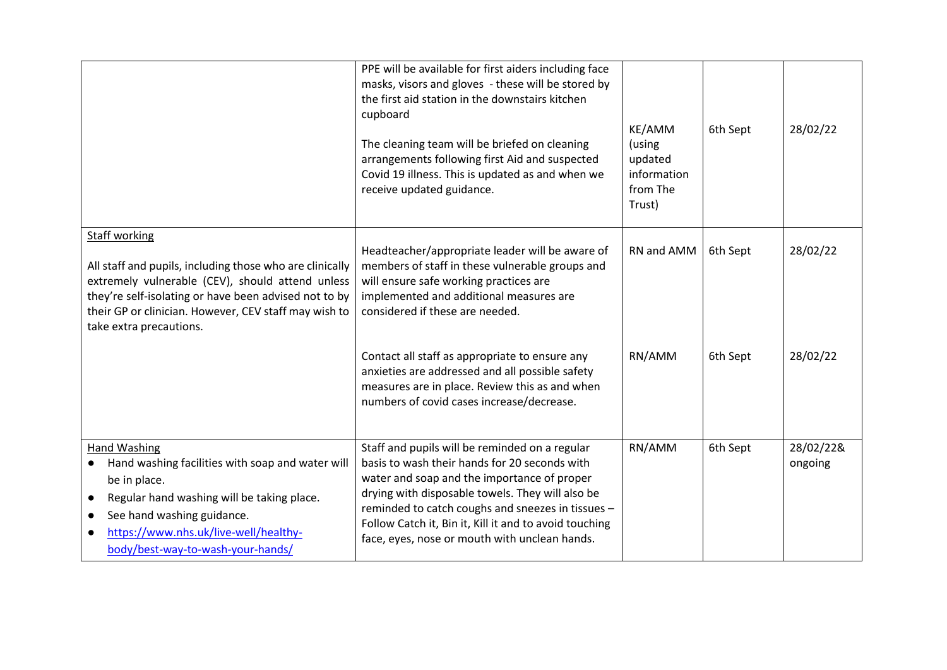|                                                                                                                                                                                                                                                                                   | PPE will be available for first aiders including face<br>masks, visors and gloves - these will be stored by<br>the first aid station in the downstairs kitchen<br>cupboard<br>The cleaning team will be briefed on cleaning<br>arrangements following first Aid and suspected<br>Covid 19 illness. This is updated as and when we<br>receive updated guidance.     | KE/AMM<br>(using<br>updated<br>information<br>from The<br>Trust) | 6th Sept | 28/02/22             |
|-----------------------------------------------------------------------------------------------------------------------------------------------------------------------------------------------------------------------------------------------------------------------------------|--------------------------------------------------------------------------------------------------------------------------------------------------------------------------------------------------------------------------------------------------------------------------------------------------------------------------------------------------------------------|------------------------------------------------------------------|----------|----------------------|
| <b>Staff working</b><br>All staff and pupils, including those who are clinically<br>extremely vulnerable (CEV), should attend unless<br>they're self-isolating or have been advised not to by<br>their GP or clinician. However, CEV staff may wish to<br>take extra precautions. | Headteacher/appropriate leader will be aware of<br>members of staff in these vulnerable groups and<br>will ensure safe working practices are<br>implemented and additional measures are<br>considered if these are needed.                                                                                                                                         | RN and AMM                                                       | 6th Sept | 28/02/22             |
|                                                                                                                                                                                                                                                                                   | Contact all staff as appropriate to ensure any<br>anxieties are addressed and all possible safety<br>measures are in place. Review this as and when<br>numbers of covid cases increase/decrease.                                                                                                                                                                   | RN/AMM                                                           | 6th Sept | 28/02/22             |
| Hand Washing<br>Hand washing facilities with soap and water will<br>$\bullet$<br>be in place.<br>Regular hand washing will be taking place.<br>$\bullet$<br>See hand washing guidance.<br>$\bullet$<br>https://www.nhs.uk/live-well/healthy-<br>body/best-way-to-wash-your-hands/ | Staff and pupils will be reminded on a regular<br>basis to wash their hands for 20 seconds with<br>water and soap and the importance of proper<br>drying with disposable towels. They will also be<br>reminded to catch coughs and sneezes in tissues -<br>Follow Catch it, Bin it, Kill it and to avoid touching<br>face, eyes, nose or mouth with unclean hands. | RN/AMM                                                           | 6th Sept | 28/02/22&<br>ongoing |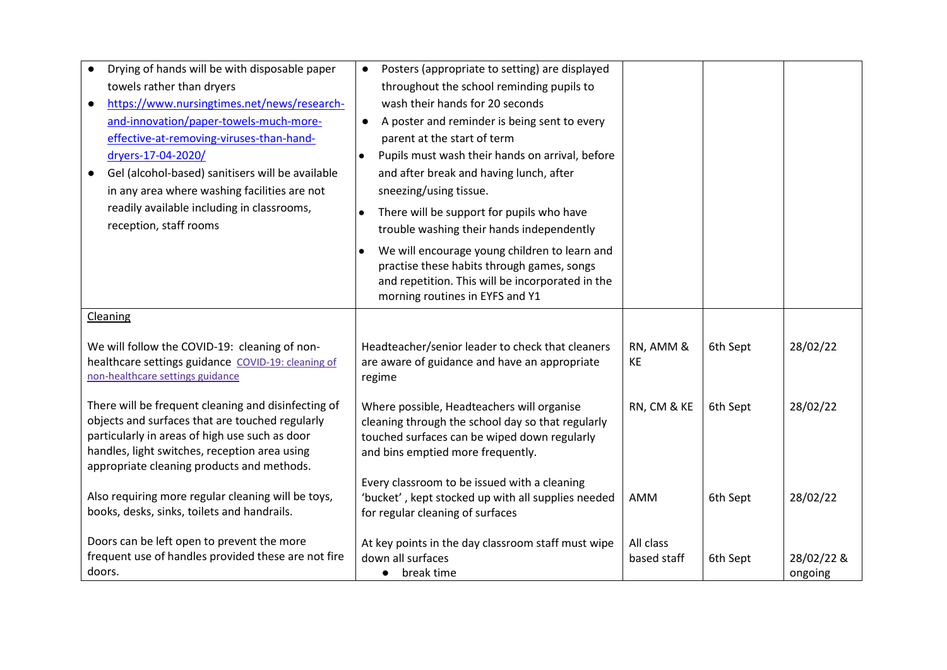| Drying of hands will be with disposable paper<br>towels rather than dryers<br>https://www.nursingtimes.net/news/research-<br>and-innovation/paper-towels-much-more-<br>effective-at-removing-viruses-than-hand-<br>dryers-17-04-2020/                   | Posters (appropriate to setting) are displayed<br>throughout the school reminding pupils to<br>wash their hands for 20 seconds<br>A poster and reminder is being sent to every<br>parent at the start of term<br>Pupils must wash their hands on arrival, before<br>$\bullet$ |                          |          |                       |
|---------------------------------------------------------------------------------------------------------------------------------------------------------------------------------------------------------------------------------------------------------|-------------------------------------------------------------------------------------------------------------------------------------------------------------------------------------------------------------------------------------------------------------------------------|--------------------------|----------|-----------------------|
| Gel (alcohol-based) sanitisers will be available<br>in any area where washing facilities are not                                                                                                                                                        | and after break and having lunch, after<br>sneezing/using tissue.                                                                                                                                                                                                             |                          |          |                       |
| readily available including in classrooms,<br>reception, staff rooms                                                                                                                                                                                    | There will be support for pupils who have<br>$\bullet$<br>trouble washing their hands independently                                                                                                                                                                           |                          |          |                       |
|                                                                                                                                                                                                                                                         | We will encourage young children to learn and<br>$\bullet$<br>practise these habits through games, songs<br>and repetition. This will be incorporated in the<br>morning routines in EYFS and Y1                                                                               |                          |          |                       |
| Cleaning                                                                                                                                                                                                                                                |                                                                                                                                                                                                                                                                               |                          |          |                       |
| We will follow the COVID-19: cleaning of non-<br>healthcare settings guidance COVID-19: cleaning of<br>non-healthcare settings guidance                                                                                                                 | Headteacher/senior leader to check that cleaners<br>are aware of guidance and have an appropriate<br>regime                                                                                                                                                                   | RN, AMM &<br><b>KE</b>   | 6th Sept | 28/02/22              |
| There will be frequent cleaning and disinfecting of<br>objects and surfaces that are touched regularly<br>particularly in areas of high use such as door<br>handles, light switches, reception area using<br>appropriate cleaning products and methods. | Where possible, Headteachers will organise<br>cleaning through the school day so that regularly<br>touched surfaces can be wiped down regularly<br>and bins emptied more frequently.                                                                                          | RN, CM & KE              | 6th Sept | 28/02/22              |
| Also requiring more regular cleaning will be toys,<br>books, desks, sinks, toilets and handrails.                                                                                                                                                       | Every classroom to be issued with a cleaning<br>'bucket', kept stocked up with all supplies needed<br>for regular cleaning of surfaces                                                                                                                                        | AMM                      | 6th Sept | 28/02/22              |
| Doors can be left open to prevent the more<br>frequent use of handles provided these are not fire<br>doors.                                                                                                                                             | At key points in the day classroom staff must wipe<br>down all surfaces<br>break time<br>$\bullet$                                                                                                                                                                            | All class<br>based staff | 6th Sept | 28/02/22 &<br>ongoing |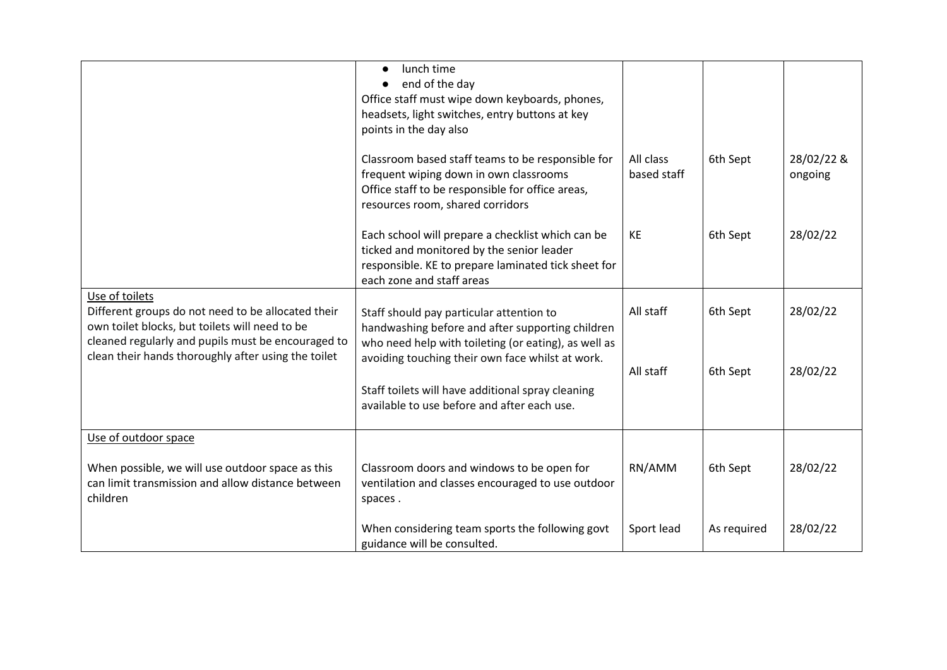|                                                                                                                                                                                                                                     | lunch time<br>$\bullet$<br>end of the day<br>$\bullet$<br>Office staff must wipe down keyboards, phones,<br>headsets, light switches, entry buttons at key<br>points in the day also                     |                          |             |                       |
|-------------------------------------------------------------------------------------------------------------------------------------------------------------------------------------------------------------------------------------|----------------------------------------------------------------------------------------------------------------------------------------------------------------------------------------------------------|--------------------------|-------------|-----------------------|
|                                                                                                                                                                                                                                     | Classroom based staff teams to be responsible for<br>frequent wiping down in own classrooms<br>Office staff to be responsible for office areas,<br>resources room, shared corridors                      | All class<br>based staff | 6th Sept    | 28/02/22 &<br>ongoing |
|                                                                                                                                                                                                                                     | Each school will prepare a checklist which can be<br>ticked and monitored by the senior leader<br>responsible. KE to prepare laminated tick sheet for<br>each zone and staff areas                       | KE                       | 6th Sept    | 28/02/22              |
| Use of toilets<br>Different groups do not need to be allocated their<br>own toilet blocks, but toilets will need to be<br>cleaned regularly and pupils must be encouraged to<br>clean their hands thoroughly after using the toilet | Staff should pay particular attention to<br>handwashing before and after supporting children<br>who need help with toileting (or eating), as well as<br>avoiding touching their own face whilst at work. | All staff                | 6th Sept    | 28/02/22              |
|                                                                                                                                                                                                                                     | Staff toilets will have additional spray cleaning<br>available to use before and after each use.                                                                                                         | All staff                | 6th Sept    | 28/02/22              |
| Use of outdoor space                                                                                                                                                                                                                |                                                                                                                                                                                                          |                          |             |                       |
| When possible, we will use outdoor space as this<br>can limit transmission and allow distance between<br>children                                                                                                                   | Classroom doors and windows to be open for<br>ventilation and classes encouraged to use outdoor<br>spaces.                                                                                               | RN/AMM                   | 6th Sept    | 28/02/22              |
|                                                                                                                                                                                                                                     | When considering team sports the following govt<br>guidance will be consulted.                                                                                                                           | Sport lead               | As required | 28/02/22              |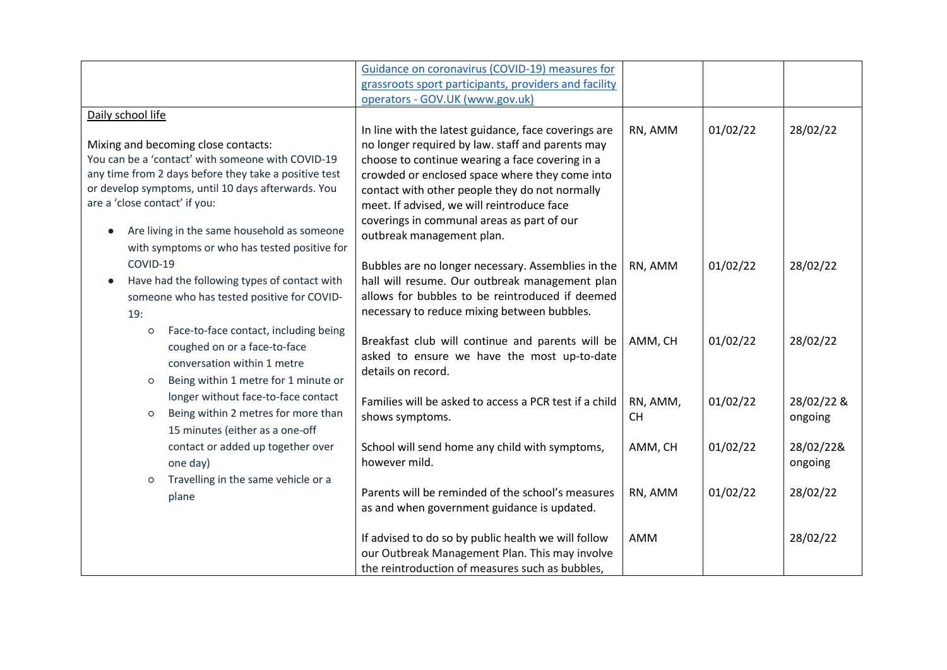|                                                       | Guidance on coronavirus (COVID-19) measures for        |           |          |            |
|-------------------------------------------------------|--------------------------------------------------------|-----------|----------|------------|
|                                                       | grassroots sport participants, providers and facility  |           |          |            |
|                                                       | operators - GOV.UK (www.gov.uk)                        |           |          |            |
| Daily school life                                     |                                                        |           |          |            |
|                                                       | In line with the latest guidance, face coverings are   | RN, AMM   | 01/02/22 | 28/02/22   |
| Mixing and becoming close contacts:                   | no longer required by law. staff and parents may       |           |          |            |
| You can be a 'contact' with someone with COVID-19     | choose to continue wearing a face covering in a        |           |          |            |
| any time from 2 days before they take a positive test | crowded or enclosed space where they come into         |           |          |            |
| or develop symptoms, until 10 days afterwards. You    | contact with other people they do not normally         |           |          |            |
| are a 'close contact' if you:                         | meet. If advised, we will reintroduce face             |           |          |            |
|                                                       | coverings in communal areas as part of our             |           |          |            |
| Are living in the same household as someone           | outbreak management plan.                              |           |          |            |
| with symptoms or who has tested positive for          |                                                        |           |          |            |
| COVID-19                                              | Bubbles are no longer necessary. Assemblies in the     | RN, AMM   | 01/02/22 | 28/02/22   |
| Have had the following types of contact with          | hall will resume. Our outbreak management plan         |           |          |            |
| someone who has tested positive for COVID-            | allows for bubbles to be reintroduced if deemed        |           |          |            |
| 19:                                                   | necessary to reduce mixing between bubbles.            |           |          |            |
|                                                       |                                                        |           |          |            |
| Face-to-face contact, including being<br>$\circ$      | Breakfast club will continue and parents will be       | AMM, CH   | 01/02/22 | 28/02/22   |
| coughed on or a face-to-face                          | asked to ensure we have the most up-to-date            |           |          |            |
| conversation within 1 metre                           | details on record.                                     |           |          |            |
| Being within 1 metre for 1 minute or<br>O             |                                                        |           |          |            |
| longer without face-to-face contact                   | Families will be asked to access a PCR test if a child | RN, AMM,  | 01/02/22 | 28/02/22 & |
| Being within 2 metres for more than<br>$\circ$        | shows symptoms.                                        | <b>CH</b> |          | ongoing    |
| 15 minutes (either as a one-off                       |                                                        |           |          |            |
| contact or added up together over                     | School will send home any child with symptoms,         | AMM, CH   | 01/02/22 | 28/02/22&  |
|                                                       | however mild.                                          |           |          | ongoing    |
| one day)                                              |                                                        |           |          |            |
| Travelling in the same vehicle or a<br>$\circ$        | Parents will be reminded of the school's measures      |           | 01/02/22 | 28/02/22   |
| plane                                                 |                                                        | RN, AMM   |          |            |
|                                                       | as and when government guidance is updated.            |           |          |            |
|                                                       |                                                        |           |          |            |
|                                                       | If advised to do so by public health we will follow    | AMM       |          | 28/02/22   |
|                                                       | our Outbreak Management Plan. This may involve         |           |          |            |
|                                                       | the reintroduction of measures such as bubbles.        |           |          |            |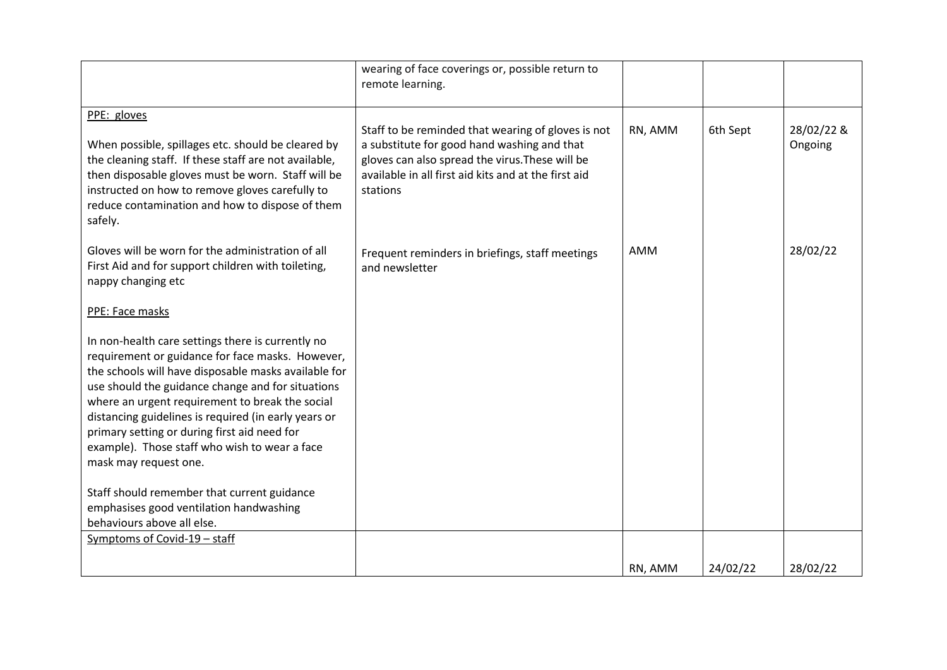|                                                                                                                                                                                                                                                                                                                                                                                                                                                         | wearing of face coverings or, possible return to<br>remote learning.                                                                                                                                                     |         |          |                       |
|---------------------------------------------------------------------------------------------------------------------------------------------------------------------------------------------------------------------------------------------------------------------------------------------------------------------------------------------------------------------------------------------------------------------------------------------------------|--------------------------------------------------------------------------------------------------------------------------------------------------------------------------------------------------------------------------|---------|----------|-----------------------|
| PPE: gloves<br>When possible, spillages etc. should be cleared by<br>the cleaning staff. If these staff are not available,<br>then disposable gloves must be worn. Staff will be<br>instructed on how to remove gloves carefully to<br>reduce contamination and how to dispose of them<br>safely.                                                                                                                                                       | Staff to be reminded that wearing of gloves is not<br>a substitute for good hand washing and that<br>gloves can also spread the virus. These will be<br>available in all first aid kits and at the first aid<br>stations | RN, AMM | 6th Sept | 28/02/22 &<br>Ongoing |
| Gloves will be worn for the administration of all<br>First Aid and for support children with toileting,<br>nappy changing etc                                                                                                                                                                                                                                                                                                                           | Frequent reminders in briefings, staff meetings<br>and newsletter                                                                                                                                                        | AMM     |          | 28/02/22              |
| PPE: Face masks                                                                                                                                                                                                                                                                                                                                                                                                                                         |                                                                                                                                                                                                                          |         |          |                       |
| In non-health care settings there is currently no<br>requirement or guidance for face masks. However,<br>the schools will have disposable masks available for<br>use should the guidance change and for situations<br>where an urgent requirement to break the social<br>distancing guidelines is required (in early years or<br>primary setting or during first aid need for<br>example). Those staff who wish to wear a face<br>mask may request one. |                                                                                                                                                                                                                          |         |          |                       |
| Staff should remember that current guidance<br>emphasises good ventilation handwashing<br>behaviours above all else.                                                                                                                                                                                                                                                                                                                                    |                                                                                                                                                                                                                          |         |          |                       |
| Symptoms of Covid-19 - staff                                                                                                                                                                                                                                                                                                                                                                                                                            |                                                                                                                                                                                                                          |         |          |                       |
|                                                                                                                                                                                                                                                                                                                                                                                                                                                         |                                                                                                                                                                                                                          | RN, AMM | 24/02/22 | 28/02/22              |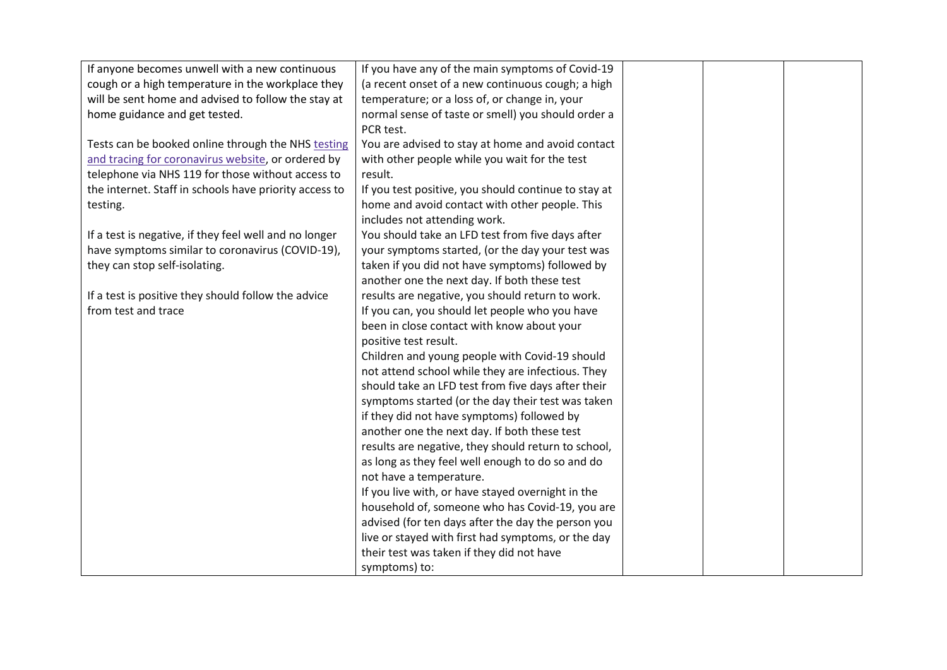| If anyone becomes unwell with a new continuous         | If you have any of the main symptoms of Covid-19     |  |  |
|--------------------------------------------------------|------------------------------------------------------|--|--|
| cough or a high temperature in the workplace they      | (a recent onset of a new continuous cough; a high    |  |  |
| will be sent home and advised to follow the stay at    | temperature; or a loss of, or change in, your        |  |  |
| home guidance and get tested.                          | normal sense of taste or smell) you should order a   |  |  |
|                                                        | PCR test.                                            |  |  |
| Tests can be booked online through the NHS testing     | You are advised to stay at home and avoid contact    |  |  |
| and tracing for coronavirus website, or ordered by     | with other people while you wait for the test        |  |  |
| telephone via NHS 119 for those without access to      | result.                                              |  |  |
| the internet. Staff in schools have priority access to | If you test positive, you should continue to stay at |  |  |
| testing.                                               | home and avoid contact with other people. This       |  |  |
|                                                        | includes not attending work.                         |  |  |
| If a test is negative, if they feel well and no longer | You should take an LFD test from five days after     |  |  |
| have symptoms similar to coronavirus (COVID-19),       | your symptoms started, (or the day your test was     |  |  |
| they can stop self-isolating.                          | taken if you did not have symptoms) followed by      |  |  |
|                                                        | another one the next day. If both these test         |  |  |
| If a test is positive they should follow the advice    | results are negative, you should return to work.     |  |  |
| from test and trace                                    | If you can, you should let people who you have       |  |  |
|                                                        | been in close contact with know about your           |  |  |
|                                                        | positive test result.                                |  |  |
|                                                        | Children and young people with Covid-19 should       |  |  |
|                                                        | not attend school while they are infectious. They    |  |  |
|                                                        | should take an LFD test from five days after their   |  |  |
|                                                        | symptoms started (or the day their test was taken    |  |  |
|                                                        | if they did not have symptoms) followed by           |  |  |
|                                                        | another one the next day. If both these test         |  |  |
|                                                        | results are negative, they should return to school,  |  |  |
|                                                        | as long as they feel well enough to do so and do     |  |  |
|                                                        | not have a temperature.                              |  |  |
|                                                        | If you live with, or have stayed overnight in the    |  |  |
|                                                        | household of, someone who has Covid-19, you are      |  |  |
|                                                        | advised (for ten days after the day the person you   |  |  |
|                                                        | live or stayed with first had symptoms, or the day   |  |  |
|                                                        | their test was taken if they did not have            |  |  |
|                                                        | symptoms) to:                                        |  |  |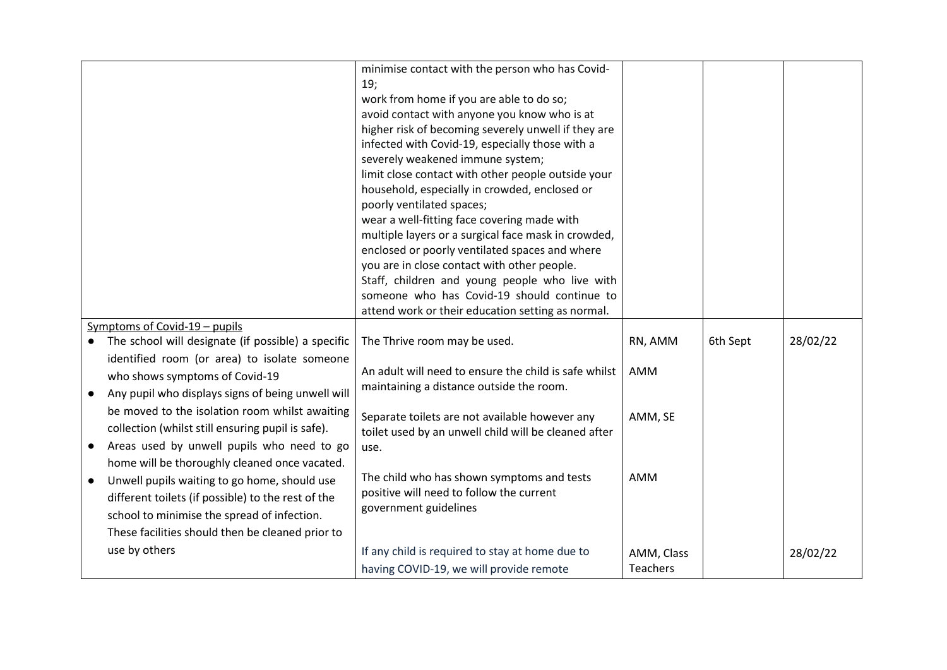|           |                                                    | minimise contact with the person who has Covid-                                               |                 |          |          |
|-----------|----------------------------------------------------|-----------------------------------------------------------------------------------------------|-----------------|----------|----------|
|           |                                                    | 19;                                                                                           |                 |          |          |
|           |                                                    | work from home if you are able to do so;                                                      |                 |          |          |
|           |                                                    | avoid contact with anyone you know who is at                                                  |                 |          |          |
|           |                                                    | higher risk of becoming severely unwell if they are                                           |                 |          |          |
|           |                                                    | infected with Covid-19, especially those with a                                               |                 |          |          |
|           |                                                    | severely weakened immune system;                                                              |                 |          |          |
|           |                                                    | limit close contact with other people outside your                                            |                 |          |          |
|           |                                                    | household, especially in crowded, enclosed or                                                 |                 |          |          |
|           |                                                    | poorly ventilated spaces;                                                                     |                 |          |          |
|           |                                                    | wear a well-fitting face covering made with                                                   |                 |          |          |
|           |                                                    | multiple layers or a surgical face mask in crowded,                                           |                 |          |          |
|           |                                                    | enclosed or poorly ventilated spaces and where                                                |                 |          |          |
|           |                                                    | you are in close contact with other people.                                                   |                 |          |          |
|           |                                                    | Staff, children and young people who live with<br>someone who has Covid-19 should continue to |                 |          |          |
|           |                                                    |                                                                                               |                 |          |          |
|           | Symptoms of Covid-19 - pupils                      | attend work or their education setting as normal.                                             |                 |          |          |
|           | The school will designate (if possible) a specific | The Thrive room may be used.                                                                  | RN, AMM         | 6th Sept | 28/02/22 |
|           | identified room (or area) to isolate someone       |                                                                                               |                 |          |          |
|           |                                                    | An adult will need to ensure the child is safe whilst                                         | AMM             |          |          |
|           | who shows symptoms of Covid-19                     | maintaining a distance outside the room.                                                      |                 |          |          |
|           | Any pupil who displays signs of being unwell will  |                                                                                               |                 |          |          |
|           | be moved to the isolation room whilst awaiting     | Separate toilets are not available however any                                                | AMM, SE         |          |          |
|           | collection (whilst still ensuring pupil is safe).  | toilet used by an unwell child will be cleaned after                                          |                 |          |          |
| $\bullet$ | Areas used by unwell pupils who need to go         | use.                                                                                          |                 |          |          |
|           | home will be thoroughly cleaned once vacated.      |                                                                                               |                 |          |          |
| $\bullet$ | Unwell pupils waiting to go home, should use       | The child who has shown symptoms and tests                                                    | AMM             |          |          |
|           | different toilets (if possible) to the rest of the | positive will need to follow the current                                                      |                 |          |          |
|           | school to minimise the spread of infection.        | government guidelines                                                                         |                 |          |          |
|           | These facilities should then be cleaned prior to   |                                                                                               |                 |          |          |
|           |                                                    |                                                                                               |                 |          |          |
|           | use by others                                      | If any child is required to stay at home due to                                               | AMM, Class      |          | 28/02/22 |
|           |                                                    | having COVID-19, we will provide remote                                                       | <b>Teachers</b> |          |          |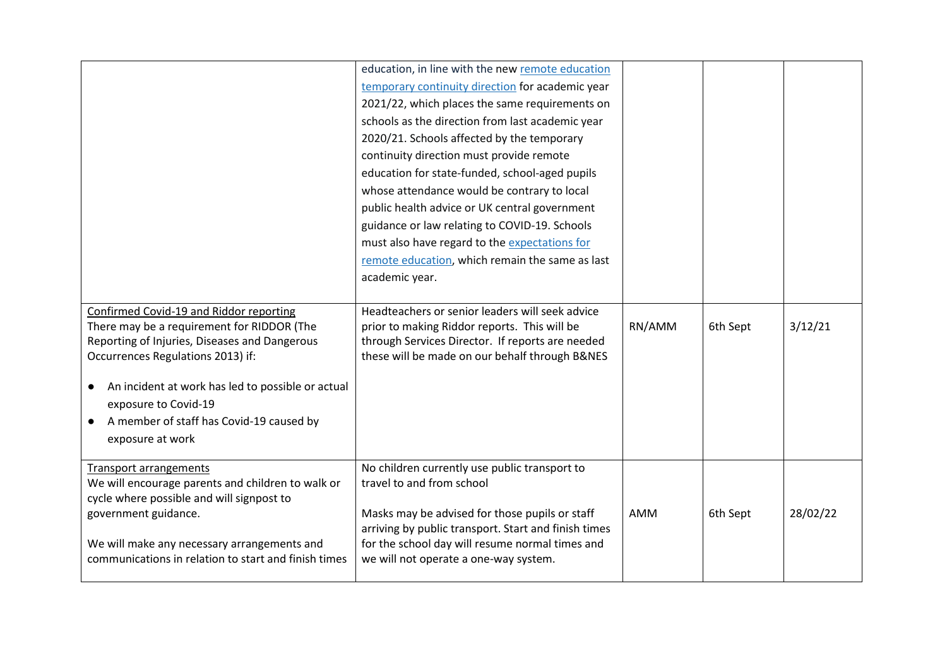|                                                                                                                                                                                                                                                                                                                          | education, in line with the new remote education<br>temporary continuity direction for academic year<br>2021/22, which places the same requirements on<br>schools as the direction from last academic year<br>2020/21. Schools affected by the temporary<br>continuity direction must provide remote<br>education for state-funded, school-aged pupils<br>whose attendance would be contrary to local<br>public health advice or UK central government<br>guidance or law relating to COVID-19. Schools<br>must also have regard to the expectations for<br>remote education, which remain the same as last<br>academic year. |            |          |          |
|--------------------------------------------------------------------------------------------------------------------------------------------------------------------------------------------------------------------------------------------------------------------------------------------------------------------------|-------------------------------------------------------------------------------------------------------------------------------------------------------------------------------------------------------------------------------------------------------------------------------------------------------------------------------------------------------------------------------------------------------------------------------------------------------------------------------------------------------------------------------------------------------------------------------------------------------------------------------|------------|----------|----------|
| Confirmed Covid-19 and Riddor reporting<br>There may be a requirement for RIDDOR (The<br>Reporting of Injuries, Diseases and Dangerous<br>Occurrences Regulations 2013) if:<br>An incident at work has led to possible or actual<br>exposure to Covid-19<br>A member of staff has Covid-19 caused by<br>exposure at work | Headteachers or senior leaders will seek advice<br>prior to making Riddor reports. This will be<br>through Services Director. If reports are needed<br>these will be made on our behalf through B&NES                                                                                                                                                                                                                                                                                                                                                                                                                         | RN/AMM     | 6th Sept | 3/12/21  |
| <b>Transport arrangements</b><br>We will encourage parents and children to walk or<br>cycle where possible and will signpost to<br>government guidance.<br>We will make any necessary arrangements and<br>communications in relation to start and finish times                                                           | No children currently use public transport to<br>travel to and from school<br>Masks may be advised for those pupils or staff<br>arriving by public transport. Start and finish times<br>for the school day will resume normal times and<br>we will not operate a one-way system.                                                                                                                                                                                                                                                                                                                                              | <b>AMM</b> | 6th Sept | 28/02/22 |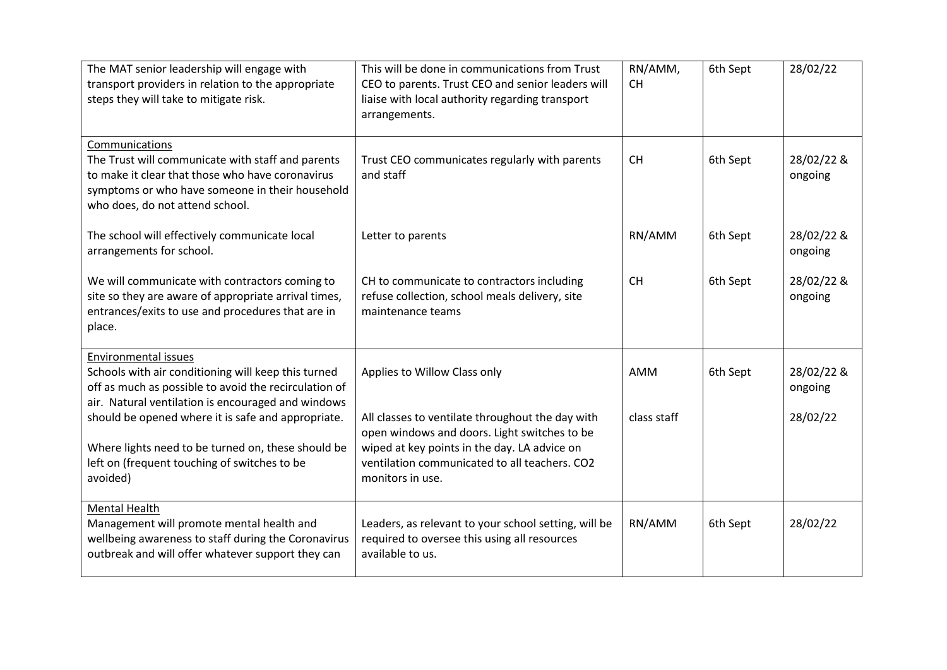| The MAT senior leadership will engage with<br>transport providers in relation to the appropriate<br>steps they will take to mitigate risk.                                                                    | This will be done in communications from Trust<br>CEO to parents. Trust CEO and senior leaders will<br>liaise with local authority regarding transport<br>arrangements.                                               | RN/AMM,<br><b>CH</b> | 6th Sept | 28/02/22              |
|---------------------------------------------------------------------------------------------------------------------------------------------------------------------------------------------------------------|-----------------------------------------------------------------------------------------------------------------------------------------------------------------------------------------------------------------------|----------------------|----------|-----------------------|
| Communications<br>The Trust will communicate with staff and parents<br>to make it clear that those who have coronavirus<br>symptoms or who have someone in their household<br>who does, do not attend school. | Trust CEO communicates regularly with parents<br>and staff                                                                                                                                                            | <b>CH</b>            | 6th Sept | 28/02/22 &<br>ongoing |
| The school will effectively communicate local<br>arrangements for school.                                                                                                                                     | Letter to parents                                                                                                                                                                                                     | RN/AMM               | 6th Sept | 28/02/22 &<br>ongoing |
| We will communicate with contractors coming to<br>site so they are aware of appropriate arrival times,<br>entrances/exits to use and procedures that are in<br>place.                                         | CH to communicate to contractors including<br>refuse collection, school meals delivery, site<br>maintenance teams                                                                                                     | <b>CH</b>            | 6th Sept | 28/02/22 &<br>ongoing |
| <b>Environmental issues</b><br>Schools with air conditioning will keep this turned<br>off as much as possible to avoid the recirculation of<br>air. Natural ventilation is encouraged and windows             | Applies to Willow Class only                                                                                                                                                                                          | AMM                  | 6th Sept | 28/02/22 &<br>ongoing |
| should be opened where it is safe and appropriate.<br>Where lights need to be turned on, these should be<br>left on (frequent touching of switches to be<br>avoided)                                          | All classes to ventilate throughout the day with<br>open windows and doors. Light switches to be<br>wiped at key points in the day. LA advice on<br>ventilation communicated to all teachers. CO2<br>monitors in use. | class staff          |          | 28/02/22              |
| <b>Mental Health</b><br>Management will promote mental health and<br>wellbeing awareness to staff during the Coronavirus<br>outbreak and will offer whatever support they can                                 | Leaders, as relevant to your school setting, will be<br>required to oversee this using all resources<br>available to us.                                                                                              | RN/AMM               | 6th Sept | 28/02/22              |